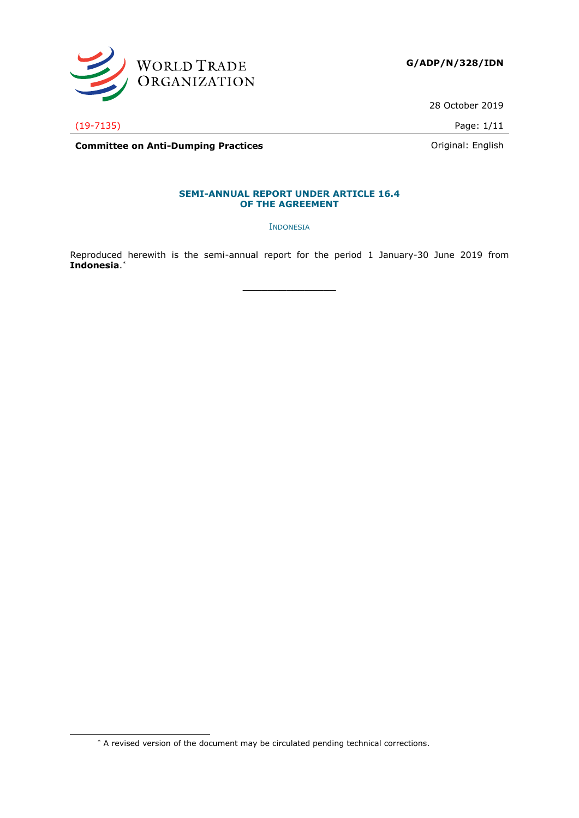

28 October 2019

(19-7135) Page: 1/11

-

**Committee on Anti-Dumping Practices Committee on Anti-Dumping Practices Committee on Anti-Dumping Practices** 

#### **SEMI-ANNUAL REPORT UNDER ARTICLE 16.4 OF THE AGREEMENT**

INDONESIA

Reproduced herewith is the semi-annual report for the period 1 January-30 June 2019 from **Indonesia**. \*

**\_\_\_\_\_\_\_\_\_\_\_\_\_\_\_**

<sup>\*</sup> A revised version of the document may be circulated pending technical corrections.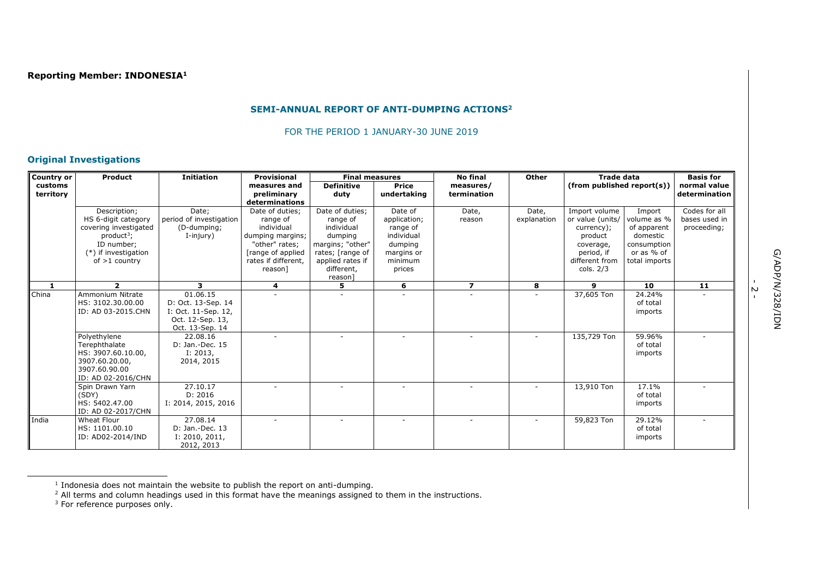## **SEMI-ANNUAL REPORT OF ANTI-DUMPING ACTIONS<sup>2</sup>**

FOR THE PERIOD 1 JANUARY-30 JUNE 2019

## **Original Investigations**

| <b>Country or</b>    | Product                                                                                                                               | <b>Initiation</b>                                                                            | <b>Provisional</b>                                                                                                                     | <b>Final measures</b>                                                                                                                                 |                                                                                                 | <b>No final</b>          | <b>Other</b>         | <b>Trade data</b>                                                                                                      |                                                                                                | <b>Basis for</b>                              |
|----------------------|---------------------------------------------------------------------------------------------------------------------------------------|----------------------------------------------------------------------------------------------|----------------------------------------------------------------------------------------------------------------------------------------|-------------------------------------------------------------------------------------------------------------------------------------------------------|-------------------------------------------------------------------------------------------------|--------------------------|----------------------|------------------------------------------------------------------------------------------------------------------------|------------------------------------------------------------------------------------------------|-----------------------------------------------|
| customs<br>territory |                                                                                                                                       |                                                                                              | measures and<br>preliminary<br>determinations                                                                                          | <b>Definitive</b><br>duty                                                                                                                             | <b>Price</b><br>undertaking                                                                     | measures/<br>termination |                      | $(from$ published report $(s)$ )                                                                                       |                                                                                                | normal value<br>determination                 |
|                      | Description;<br>HS 6-digit category<br>covering investigated<br>$product3$ ;<br>ID number;<br>(*) if investigation<br>of $>1$ country | Date;<br>period of investigation<br>(D-dumping;<br>I-injury)                                 | Date of duties;<br>range of<br>individual<br>dumping margins;<br>"other" rates;<br>[range of applied<br>rates if different.<br>reason] | Date of duties;<br>range of<br>individual<br>dumping<br>margins; "other"<br>rates; [range of<br>applied rates if<br>different,<br>reason <sup>-</sup> | Date of<br>application;<br>range of<br>individual<br>dumping<br>margins or<br>minimum<br>prices | Date,<br>reason          | Date,<br>explanation | Import volume<br>or value (units/<br>currency);<br>product<br>coverage,<br>period, if<br>different from<br>cols. $2/3$ | Import<br>volume as %<br>of apparent<br>domestic<br>consumption<br>or as % of<br>total imports | Codes for all<br>bases used in<br>proceeding; |
|                      | $\overline{ }$                                                                                                                        | 3.                                                                                           | 4                                                                                                                                      | 5                                                                                                                                                     | 6                                                                                               | $\overline{\mathbf{z}}$  | 8                    | 9                                                                                                                      | 10                                                                                             | 11                                            |
| China                | Ammonium Nitrate<br>HS: 3102.30.00.00<br>ID: AD 03-2015.CHN                                                                           | 01.06.15<br>D: Oct. 13-Sep. 14<br>I: Oct. 11-Sep. 12,<br>Oct. 12-Sep. 13,<br>Oct. 13-Sep. 14 |                                                                                                                                        |                                                                                                                                                       |                                                                                                 |                          |                      | 37,605 Ton                                                                                                             | 24.24%<br>of total<br>imports                                                                  |                                               |
|                      | Polvethylene<br>Terephthalate<br>HS: 3907.60.10.00,<br>3907.60.20.00,<br>3907.60.90.00<br>ID: AD 02-2016/CHN                          | 22.08.16<br>D: Jan.-Dec. 15<br>I: 2013,<br>2014, 2015                                        |                                                                                                                                        |                                                                                                                                                       |                                                                                                 | $\overline{\phantom{a}}$ | $\sim$               | 135,729 Ton                                                                                                            | 59.96%<br>of total<br>imports                                                                  |                                               |
|                      | Spin Drawn Yarn<br>(SDY)<br>HS: 5402.47.00<br>ID: AD 02-2017/CHN                                                                      | 27.10.17<br>D: 2016<br>I: 2014, 2015, 2016                                                   |                                                                                                                                        |                                                                                                                                                       |                                                                                                 |                          |                      | 13,910 Ton                                                                                                             | 17.1%<br>of total<br>imports                                                                   |                                               |
| India                | <b>Wheat Flour</b><br>HS: 1101.00.10<br>ID: AD02-2014/IND                                                                             | 27.08.14<br>D: Jan.-Dec. 13<br>I: 2010, 2011,<br>2012, 2013                                  |                                                                                                                                        |                                                                                                                                                       |                                                                                                 |                          |                      | 59,823 Ton                                                                                                             | 29.12%<br>of total<br>imports                                                                  |                                               |

ł

G/ADP/N/32 G/ADP/N/328/IDN

-<br>- 2

<sup>1</sup> Indonesia does not maintain the website to publish the report on anti-dumping.

 $<sup>2</sup>$  All terms and column headings used in this format have the meanings assigned to them in the instructions.</sup>

 $3$  For reference purposes only.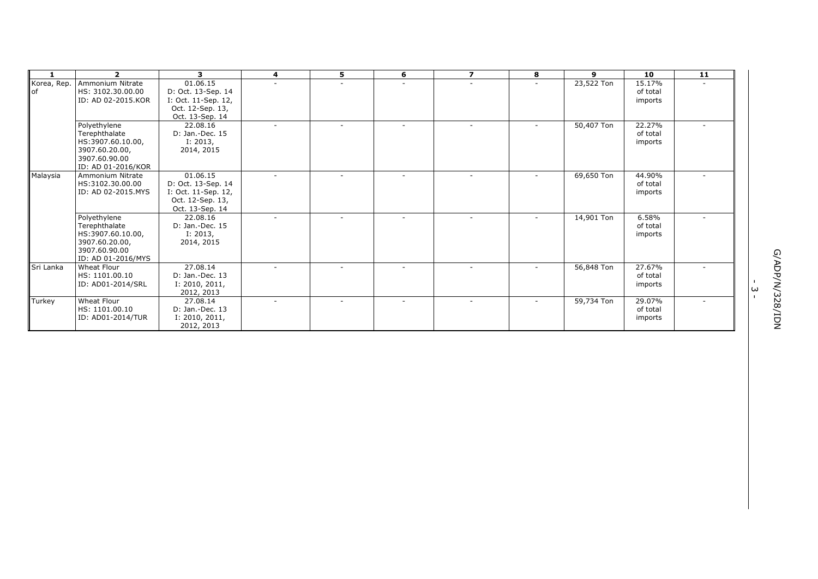| - 1               | $\overline{ }$                                                                                              | 3                                                                                            | 4                        | 5 | 6 | $\overline{ }$ | 8                        | 9          | 10                            | 11 |   |                     |
|-------------------|-------------------------------------------------------------------------------------------------------------|----------------------------------------------------------------------------------------------|--------------------------|---|---|----------------|--------------------------|------------|-------------------------------|----|---|---------------------|
| Korea, Rep.<br>of | Ammonium Nitrate<br>HS: 3102.30.00.00<br>ID: AD 02-2015.KOR                                                 | 01.06.15<br>D: Oct. 13-Sep. 14<br>I: Oct. 11-Sep. 12,<br>Oct. 12-Sep. 13,<br>Oct. 13-Sep. 14 | $\overline{\phantom{a}}$ |   |   |                | $\sim$                   | 23,522 Ton | 15.17%<br>of total<br>imports |    |   |                     |
|                   | Polyethylene<br>Terephthalate<br>HS:3907.60.10.00,<br>3907.60.20.00,<br>3907.60.90.00<br>ID: AD 01-2016/KOR | 22.08.16<br>D: Jan.-Dec. 15<br>I: 2013,<br>2014, 2015                                        | $\overline{\phantom{a}}$ |   |   |                | $\overline{\phantom{a}}$ | 50,407 Ton | 22.27%<br>of total<br>imports |    |   |                     |
| Malaysia          | Ammonium Nitrate<br>HS:3102.30.00.00<br>ID: AD 02-2015.MYS                                                  | 01.06.15<br>D: Oct. 13-Sep. 14<br>I: Oct. 11-Sep. 12,<br>Oct. 12-Sep. 13,<br>Oct. 13-Sep. 14 | $\overline{\phantom{a}}$ |   |   |                | $\overline{\phantom{a}}$ | 69,650 Ton | 44.90%<br>of total<br>imports |    |   |                     |
|                   | Polyethylene<br>Terephthalate<br>HS:3907.60.10.00,<br>3907.60.20.00,<br>3907.60.90.00<br>ID: AD 01-2016/MYS | 22.08.16<br>D: Jan.-Dec. 15<br>I: 2013,<br>2014, 2015                                        | $\overline{\phantom{a}}$ |   |   |                | $\overline{\phantom{a}}$ | 14,901 Ton | 6.58%<br>of total<br>imports  |    |   |                     |
| Sri Lanka         | Wheat Flour<br>HS: 1101.00.10<br>ID: AD01-2014/SRL                                                          | 27.08.14<br>D: Jan.-Dec. 13<br>I: 2010, 2011,<br>2012, 2013                                  | $\sim$                   |   |   |                | $\overline{\phantom{a}}$ | 56,848 Ton | 27.67%<br>of total<br>imports |    | ω | G/ADP/<br>ω         |
| Turkey            | Wheat Flour<br>HS: 1101.00.10<br>ID: AD01-2014/TUR                                                          | 27.08.14<br>D: Jan.-Dec. 13<br>I: 2010, 2011,<br>2012, 2013                                  |                          |   |   |                | $\overline{\phantom{a}}$ | 59,734 Ton | 29.07%<br>of total<br>imports |    |   | N<br>୍ଷ<br>non<br>N |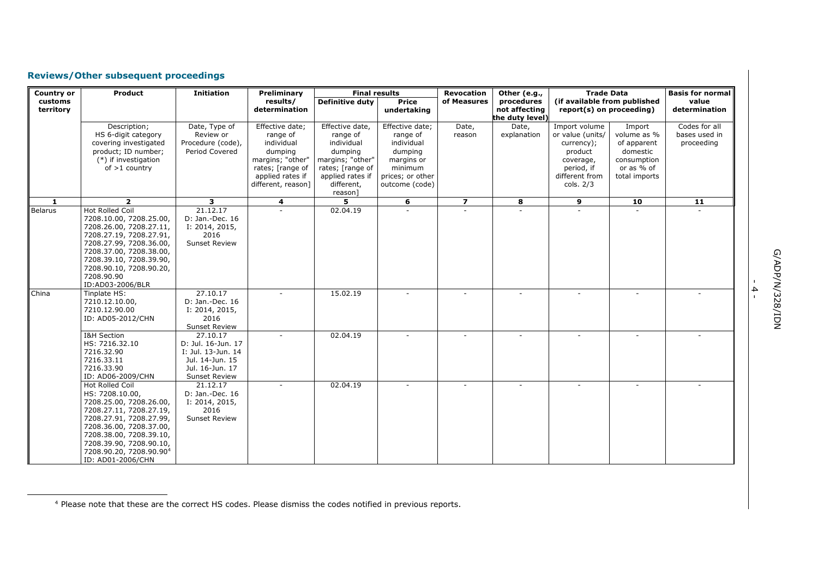# **Reviews/Other subsequent proceedings**

ł

| <b>Country or</b>    | Product                                                                                                                                                                                                                                              | <b>Initiation</b>                                                                                                  | Preliminary                                                                                                                            | <b>Final results</b>                                                                                                                      |                                                                                                                     | <b>Revocation</b> | Other (e.g.,                                   | <b>Trade Data</b>                                                                                                      |                                                                                                | <b>Basis for normal</b>                      |
|----------------------|------------------------------------------------------------------------------------------------------------------------------------------------------------------------------------------------------------------------------------------------------|--------------------------------------------------------------------------------------------------------------------|----------------------------------------------------------------------------------------------------------------------------------------|-------------------------------------------------------------------------------------------------------------------------------------------|---------------------------------------------------------------------------------------------------------------------|-------------------|------------------------------------------------|------------------------------------------------------------------------------------------------------------------------|------------------------------------------------------------------------------------------------|----------------------------------------------|
| customs<br>territory |                                                                                                                                                                                                                                                      |                                                                                                                    | results/<br>determination                                                                                                              | <b>Definitive duty</b>                                                                                                                    | <b>Price</b><br>undertaking                                                                                         | of Measures       | procedures<br>not affecting<br>the duty level) | (if available from published<br>report(s) on proceeding)                                                               |                                                                                                | value<br>determination                       |
|                      | Description;<br>HS 6-digit category<br>covering investigated<br>product; ID number;<br>(*) if investigation<br>of $>1$ country                                                                                                                       | Date, Type of<br>Review or<br>Procedure (code),<br>Period Covered                                                  | Effective date;<br>range of<br>individual<br>dumping<br>margins; "other"<br>rates; [range of<br>applied rates if<br>different, reason] | Effective date,<br>range of<br>individual<br>dumping<br>margins; "other"<br>rates; [range of<br>applied rates if<br>different,<br>reason] | Effective date;<br>range of<br>individual<br>dumping<br>margins or<br>minimum<br>prices; or other<br>outcome (code) | Date,<br>reason   | Date,<br>explanation                           | Import volume<br>or value (units/<br>currency);<br>product<br>coverage,<br>period, if<br>different from<br>cols. $2/3$ | Import<br>volume as %<br>of apparent<br>domestic<br>consumption<br>or as % of<br>total imports | Codes for all<br>bases used in<br>proceeding |
| 1                    | $\overline{2}$                                                                                                                                                                                                                                       | 3                                                                                                                  | $\overline{4}$                                                                                                                         | 5                                                                                                                                         | 6                                                                                                                   | $\overline{z}$    | 8                                              | 9                                                                                                                      | 10                                                                                             | 11                                           |
| <b>Belarus</b>       | Hot Rolled Coil<br>7208.10.00, 7208.25.00,<br>7208.26.00, 7208.27.11,<br>7208.27.19, 7208.27.91,<br>7208.27.99, 7208.36.00,<br>7208.37.00, 7208.38.00,<br>7208.39.10, 7208.39.90,<br>7208.90.10, 7208.90.20,<br>7208.90.90<br>ID:AD03-2006/BLR       | 21.12.17<br>D: Jan.-Dec. 16<br>I: 2014, 2015,<br>2016<br><b>Sunset Review</b>                                      |                                                                                                                                        | 02.04.19                                                                                                                                  |                                                                                                                     |                   |                                                |                                                                                                                        |                                                                                                |                                              |
| China                | Tinplate HS:<br>7210.12.10.00,<br>7210.12.90.00<br>ID: AD05-2012/CHN                                                                                                                                                                                 | 27.10.17<br>D: Jan.-Dec. 16<br>I: 2014, 2015,<br>2016<br><b>Sunset Review</b>                                      |                                                                                                                                        | 15.02.19                                                                                                                                  |                                                                                                                     |                   |                                                |                                                                                                                        |                                                                                                |                                              |
|                      | I&H Section<br>HS: 7216.32.10<br>7216.32.90<br>7216.33.11<br>7216.33.90<br>ID: AD06-2009/CHN                                                                                                                                                         | 27.10.17<br>D: Jul. 16-Jun. 17<br>I: Jul. 13-Jun. 14<br>Jul. 14-Jun. 15<br>Jul. 16-Jun. 17<br><b>Sunset Review</b> | $\sim$                                                                                                                                 | 02.04.19                                                                                                                                  |                                                                                                                     |                   |                                                |                                                                                                                        | $\overline{\phantom{a}}$                                                                       |                                              |
|                      | Hot Rolled Coil<br>HS: 7208.10.00,<br>7208.25.00, 7208.26.00,<br>7208.27.11, 7208.27.19,<br>7208.27.91, 7208.27.99,<br>7208.36.00, 7208.37.00,<br>7208.38.00, 7208.39.10,<br>7208.39.90, 7208.90.10,<br>7208.90.20, 7208.90.904<br>ID: AD01-2006/CHN | 21.12.17<br>D: Jan.-Dec. 16<br>I: 2014, 2015,<br>2016<br><b>Sunset Review</b>                                      | $\sim$                                                                                                                                 | 02.04.19                                                                                                                                  |                                                                                                                     |                   |                                                |                                                                                                                        |                                                                                                |                                              |

- 4 -

<sup>4</sup> Please note that these are the correct HS codes. Please dismiss the codes notified in previous reports.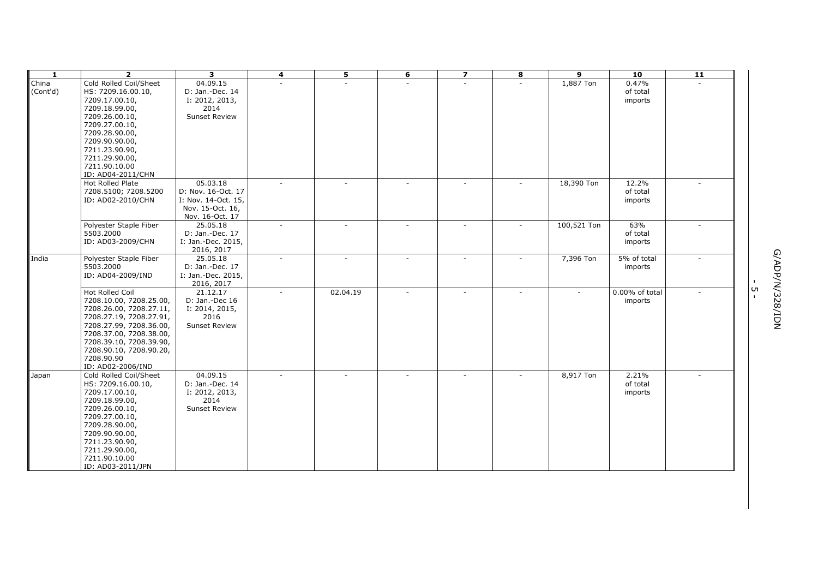| $\mathbf{1}$ | $\overline{\mathbf{2}}$                      | 3                    | 4      | 5        | 6      | $\overline{\mathbf{z}}$ | 8      | 9                        | 10             | 11 |    |                 |
|--------------|----------------------------------------------|----------------------|--------|----------|--------|-------------------------|--------|--------------------------|----------------|----|----|-----------------|
| China        | Cold Rolled Coil/Sheet                       | 04.09.15             |        |          |        |                         |        | 1,887 Ton                | 0.47%          |    |    |                 |
| (Cont'd)     | HS: 7209.16.00.10,                           | D: Jan.-Dec. 14      |        |          |        |                         |        |                          | of total       |    |    |                 |
|              | 7209.17.00.10,                               | I: 2012, 2013,       |        |          |        |                         |        |                          | imports        |    |    |                 |
|              | 7209.18.99.00,                               | 2014                 |        |          |        |                         |        |                          |                |    |    |                 |
|              | 7209.26.00.10,                               | <b>Sunset Review</b> |        |          |        |                         |        |                          |                |    |    |                 |
|              | 7209.27.00.10,                               |                      |        |          |        |                         |        |                          |                |    |    |                 |
|              | 7209.28.90.00,                               |                      |        |          |        |                         |        |                          |                |    |    |                 |
|              | 7209.90.90.00,                               |                      |        |          |        |                         |        |                          |                |    |    |                 |
|              | 7211.23.90.90,                               |                      |        |          |        |                         |        |                          |                |    |    |                 |
|              | 7211.29.90.00,                               |                      |        |          |        |                         |        |                          |                |    |    |                 |
|              | 7211.90.10.00                                |                      |        |          |        |                         |        |                          |                |    |    |                 |
|              | ID: AD04-2011/CHN                            |                      |        |          |        |                         |        |                          |                |    |    |                 |
|              | Hot Rolled Plate                             | 05.03.18             | ٠      |          |        |                         |        | 18,390 Ton               | 12.2%          |    |    |                 |
|              | 7208.5100; 7208.5200                         | D: Nov. 16-Oct. 17   |        |          |        |                         |        |                          | of total       |    |    |                 |
|              | ID: AD02-2010/CHN                            | I: Nov. 14-Oct. 15,  |        |          |        |                         |        |                          | imports        |    |    |                 |
|              |                                              | Nov. 15-Oct. 16,     |        |          |        |                         |        |                          |                |    |    |                 |
|              |                                              | Nov. 16-Oct. 17      |        |          |        |                         |        |                          |                |    |    |                 |
|              | Polyester Staple Fiber                       | 25.05.18             | ٠      | ٠        |        |                         |        | 100,521 Ton              | 63%            |    |    |                 |
|              | 5503.2000                                    | D: Jan.-Dec. 17      |        |          |        |                         |        |                          | of total       |    |    |                 |
|              | ID: AD03-2009/CHN                            | I: Jan.-Dec. 2015,   |        |          |        |                         |        |                          | imports        |    |    |                 |
|              |                                              | 2016, 2017           |        |          |        |                         |        |                          |                |    |    |                 |
| India        | Polyester Staple Fiber                       | 25.05.18             | $\sim$ | $\sim$   |        |                         |        | 7,396 Ton                | 5% of total    |    |    | G/ADP/N/328/IDN |
|              | 5503.2000                                    | D: Jan.-Dec. 17      |        |          |        |                         |        |                          | imports        |    |    |                 |
|              | ID: AD04-2009/IND                            | I: Jan.-Dec. 2015,   |        |          |        |                         |        |                          |                |    |    |                 |
|              |                                              | 2016, 2017           |        |          |        |                         |        |                          |                |    | UП |                 |
|              | Hot Rolled Coil                              | 21.12.17             | $\sim$ | 02.04.19 | $\sim$ | $\sim$                  | $\sim$ | $\overline{\phantom{a}}$ | 0.00% of total |    |    |                 |
|              | 7208.10.00, 7208.25.00,                      | D: Jan.-Dec 16       |        |          |        |                         |        |                          | imports        |    |    |                 |
|              | 7208.26.00, 7208.27.11,                      | I: 2014, 2015,       |        |          |        |                         |        |                          |                |    |    |                 |
|              | 7208.27.19, 7208.27.91,                      | 2016                 |        |          |        |                         |        |                          |                |    |    |                 |
|              | 7208.27.99, 7208.36.00,                      | <b>Sunset Review</b> |        |          |        |                         |        |                          |                |    |    |                 |
|              | 7208.37.00, 7208.38.00,                      |                      |        |          |        |                         |        |                          |                |    |    |                 |
|              | 7208.39.10, 7208.39.90,                      |                      |        |          |        |                         |        |                          |                |    |    |                 |
|              | 7208.90.10, 7208.90.20,                      |                      |        |          |        |                         |        |                          |                |    |    |                 |
|              | 7208.90.90                                   |                      |        |          |        |                         |        |                          |                |    |    |                 |
|              | ID: AD02-2006/IND                            | 04.09.15             | ٠      |          |        |                         |        | 8,917 Ton                | 2.21%          |    |    |                 |
| Japan        | Cold Rolled Coil/Sheet<br>HS: 7209.16.00.10, | D: Jan.-Dec. 14      |        | ٠        |        |                         |        |                          | of total       |    |    |                 |
|              |                                              | I: 2012, 2013,       |        |          |        |                         |        |                          |                |    |    |                 |
|              | 7209.17.00.10,<br>7209.18.99.00,             | 2014                 |        |          |        |                         |        |                          | imports        |    |    |                 |
|              | 7209.26.00.10,                               | <b>Sunset Review</b> |        |          |        |                         |        |                          |                |    |    |                 |
|              | 7209.27.00.10,                               |                      |        |          |        |                         |        |                          |                |    |    |                 |
|              | 7209.28.90.00,                               |                      |        |          |        |                         |        |                          |                |    |    |                 |
|              | 7209.90.90.00,                               |                      |        |          |        |                         |        |                          |                |    |    |                 |
|              | 7211.23.90.90,                               |                      |        |          |        |                         |        |                          |                |    |    |                 |
|              | 7211.29.90.00,                               |                      |        |          |        |                         |        |                          |                |    |    |                 |
|              | 7211.90.10.00                                |                      |        |          |        |                         |        |                          |                |    |    |                 |
|              | ID: AD03-2011/JPN                            |                      |        |          |        |                         |        |                          |                |    |    |                 |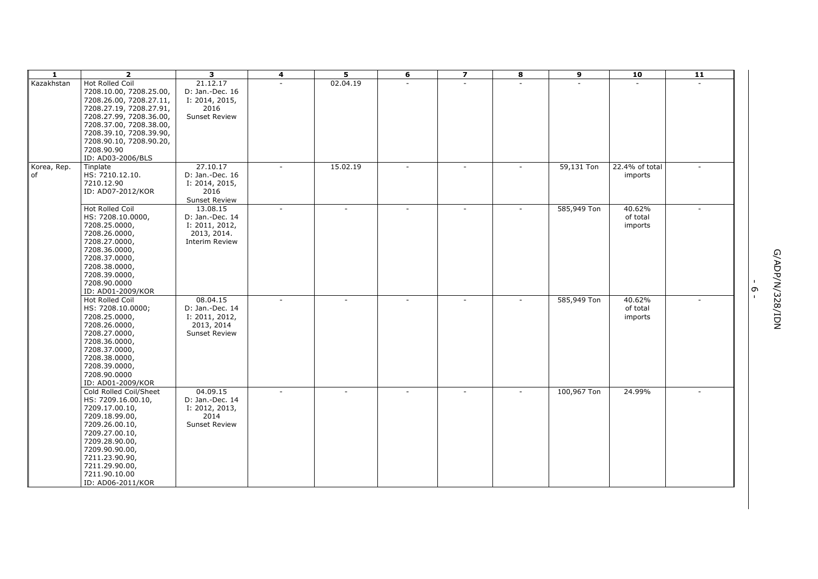| 1                 | $\overline{2}$                                                                                                                                                                                                                     | 3                                                                              | 4                        | 5              | 6      | $\overline{7}$ | 8 | 9           | 10                            | 11 |                                      |
|-------------------|------------------------------------------------------------------------------------------------------------------------------------------------------------------------------------------------------------------------------------|--------------------------------------------------------------------------------|--------------------------|----------------|--------|----------------|---|-------------|-------------------------------|----|--------------------------------------|
| Kazakhstan        | <b>Hot Rolled Coil</b><br>7208.10.00, 7208.25.00,<br>7208.26.00, 7208.27.11,<br>7208.27.19, 7208.27.91,<br>7208.27.99, 7208.36.00,<br>7208.37.00, 7208.38.00,                                                                      | 21.12.17<br>D: Jan.-Dec. 16<br>I: 2014, 2015,<br>2016<br><b>Sunset Review</b>  |                          | 02.04.19       |        | ÷.             |   |             | ÷.                            |    |                                      |
|                   | 7208.39.10, 7208.39.90,<br>7208.90.10, 7208.90.20,<br>7208.90.90<br>ID: AD03-2006/BLS                                                                                                                                              |                                                                                |                          |                |        |                |   |             |                               |    |                                      |
| Korea, Rep.<br>οf | Tinplate<br>HS: 7210.12.10.<br>7210.12.90<br>ID: AD07-2012/KOR                                                                                                                                                                     | 27.10.17<br>D: Jan.-Dec. 16<br>I: 2014, 2015,<br>2016<br><b>Sunset Review</b>  | $\sim$                   | 15.02.19       | $\sim$ | $\sim$         |   | 59,131 Ton  | 22.4% of total<br>imports     |    |                                      |
|                   | Hot Rolled Coil<br>HS: 7208.10.0000,<br>7208.25.0000,<br>7208.26.0000,<br>7208.27.0000,<br>7208.36.0000,<br>7208.37.0000,<br>7208.38.0000,<br>7208.39.0000,<br>7208.90.0000<br>ID: AD01-2009/KOR                                   | 13.08.15<br>D: Jan.-Dec. 14<br>I: 2011, 2012,<br>2013, 2014.<br>Interim Review |                          | ٠              |        | $\sim$         |   | 585,949 Ton | 40.62%<br>of total<br>imports |    | G/ADP/N/328/IDN<br>Ō<br>$\mathbf{L}$ |
|                   | Hot Rolled Coil<br>HS: 7208.10.0000;<br>7208.25.0000,<br>7208.26.0000,<br>7208.27.0000,<br>7208.36.0000,<br>7208.37.0000,<br>7208.38.0000,<br>7208.39.0000,<br>7208.90.0000<br>ID: AD01-2009/KOR                                   | 08.04.15<br>D: Jan.-Dec. 14<br>I: 2011, 2012,<br>2013, 2014<br>Sunset Review   | $\overline{\phantom{a}}$ | $\blacksquare$ |        | $\sim$         |   | 585,949 Ton | 40.62%<br>of total<br>imports |    |                                      |
|                   | Cold Rolled Coil/Sheet<br>HS: 7209.16.00.10,<br>7209.17.00.10,<br>7209.18.99.00,<br>7209.26.00.10,<br>7209.27.00.10,<br>7209.28.90.00,<br>7209.90.90.00,<br>7211.23.90.90,<br>7211.29.90.00,<br>7211.90.10.00<br>ID: AD06-2011/KOR | 04.09.15<br>D: Jan.-Dec. 14<br>I: 2012, 2013,<br>2014<br><b>Sunset Review</b>  |                          | ä,             |        | $\sim$         |   | 100,967 Ton | 24.99%                        |    |                                      |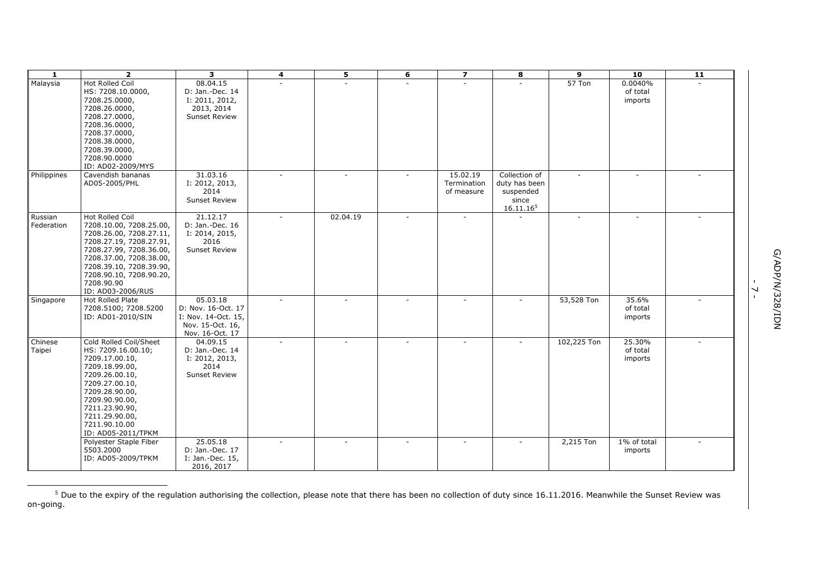| 1                     | $\overline{\mathbf{2}}$                                                                                                                                                                                                                         | 3                                                                                            | 4      | 5                        | 6 | $\overline{\mathbf{z}}$               | 8                                                                 | 9           | 10                             | 11 |
|-----------------------|-------------------------------------------------------------------------------------------------------------------------------------------------------------------------------------------------------------------------------------------------|----------------------------------------------------------------------------------------------|--------|--------------------------|---|---------------------------------------|-------------------------------------------------------------------|-------------|--------------------------------|----|
| Malaysia              | Hot Rolled Coil<br>HS: 7208.10.0000,<br>7208.25.0000,                                                                                                                                                                                           | 08.04.15<br>D: Jan.-Dec. 14<br>I: 2011, 2012,                                                |        |                          |   |                                       |                                                                   | 57 Ton      | 0.0040%<br>of total<br>imports |    |
|                       | 7208.26.0000,<br>7208.27.0000,<br>7208.36.0000,<br>7208.37.0000,<br>7208.38.0000,<br>7208.39.0000,<br>7208.90.0000<br>ID: AD02-2009/MYS                                                                                                         | 2013, 2014<br><b>Sunset Review</b>                                                           |        |                          |   |                                       |                                                                   |             |                                |    |
| Philippines           | Cavendish bananas<br>AD05-2005/PHL                                                                                                                                                                                                              | 31.03.16<br>I: 2012, 2013,<br>2014<br><b>Sunset Review</b>                                   |        | $\overline{\phantom{a}}$ |   | 15.02.19<br>Termination<br>of measure | Collection of<br>duty has been<br>suspended<br>since<br>16.11.165 |             | $\overline{\phantom{a}}$       |    |
| Russian<br>Federation | Hot Rolled Coil<br>7208.10.00, 7208.25.00,<br>7208.26.00, 7208.27.11,<br>7208.27.19, 7208.27.91,<br>7208.27.99, 7208.36.00,<br>7208.37.00, 7208.38.00,<br>7208.39.10, 7208.39.90,<br>7208.90.10, 7208.90.20,<br>7208.90.90<br>ID: AD03-2006/RUS | 21.12.17<br>D: Jan.-Dec. 16<br>I: 2014, 2015,<br>2016<br><b>Sunset Review</b>                | $\sim$ | 02.04.19                 |   |                                       |                                                                   |             |                                |    |
| Singapore             | Hot Rolled Plate<br>7208.5100; 7208.5200<br>ID: AD01-2010/SIN                                                                                                                                                                                   | 05.03.18<br>D: Nov. 16-Oct. 17<br>I: Nov. 14-Oct. 15,<br>Nov. 15-Oct. 16,<br>Nov. 16-Oct. 17 |        |                          |   |                                       |                                                                   | 53,528 Ton  | 35.6%<br>of total<br>imports   |    |
| Chinese<br>Taipei     | Cold Rolled Coil/Sheet<br>HS: 7209.16.00.10;<br>7209.17.00.10,<br>7209.18.99.00,<br>7209.26.00.10,<br>7209.27.00.10,<br>7209.28.90.00,<br>7209.90.90.00,<br>7211.23.90.90,<br>7211.29.90.00,<br>7211.90.10.00<br>ID: AD05-2011/TPKM             | 04.09.15<br>D: Jan.-Dec. 14<br>I: 2012, 2013,<br>2014<br><b>Sunset Review</b>                | $\sim$ | ÷                        |   |                                       |                                                                   | 102,225 Ton | 25.30%<br>of total<br>imports  |    |
|                       | Polyester Staple Fiber<br>5503.2000<br>ID: AD05-2009/TPKM                                                                                                                                                                                       | 25.05.18<br>D: Jan.-Dec. 17<br>I: Jan.-Dec. 15,<br>2016, 2017                                |        | ÷                        |   |                                       |                                                                   | 2,215 Ton   | 1% of total<br>imports         |    |

<sup>&</sup>lt;sup>5</sup> Due to the expiry of the regulation authorising the collection, please note that there has been no collection of duty since 16.11.2016. Meanwhile the Sunset Review was on-going.

ł

-<br>- <sup>7</sup>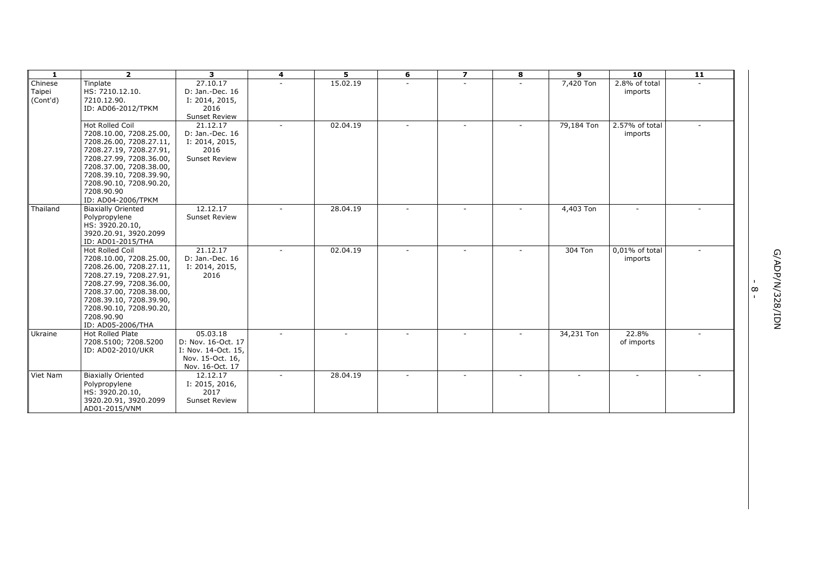| -1                            | $\overline{2}$                                                                                                                                                                                                                                          | 3                                                                                            | 4      | 5        | 6      | $\overline{\mathbf{z}}$  | 8      | $\mathbf{Q}$         | 10                        | 11 |                                 |
|-------------------------------|---------------------------------------------------------------------------------------------------------------------------------------------------------------------------------------------------------------------------------------------------------|----------------------------------------------------------------------------------------------|--------|----------|--------|--------------------------|--------|----------------------|---------------------------|----|---------------------------------|
| Chinese<br>Taipei<br>(Cont'd) | Tinplate<br>HS: 7210.12.10.<br>7210.12.90.<br>ID: AD06-2012/TPKM                                                                                                                                                                                        | 27.10.17<br>D: Jan.-Dec. 16<br>I: 2014, 2015,<br>2016<br><b>Sunset Review</b>                | ÷      | 15.02.19 |        |                          |        | 7,420 Ton            | 2.8% of total<br>imports  |    |                                 |
|                               | <b>Hot Rolled Coil</b><br>7208.10.00, 7208.25.00,<br>7208.26.00, 7208.27.11,<br>7208.27.19, 7208.27.91,<br>7208.27.99, 7208.36.00,<br>7208.37.00, 7208.38.00,<br>7208.39.10, 7208.39.90,<br>7208.90.10, 7208.90.20,<br>7208.90.90<br>ID: AD04-2006/TPKM | 21.12.17<br>D: Jan.-Dec. 16<br>I: 2014, 2015,<br>2016<br><b>Sunset Review</b>                | $\sim$ | 02.04.19 | $\sim$ | $\overline{\phantom{a}}$ | $\sim$ | 79,184 Ton           | 2.57% of total<br>imports |    |                                 |
| Thailand                      | <b>Biaxially Oriented</b><br>Polypropylene<br>HS: 3920.20.10,<br>3920.20.91, 3920.2099<br>ID: AD01-2015/THA                                                                                                                                             | 12.12.17<br>Sunset Review                                                                    | $\sim$ | 28.04.19 | $\sim$ |                          | $\sim$ | 4,403 Ton            | $\sim$                    |    |                                 |
|                               | <b>Hot Rolled Coil</b><br>7208.10.00, 7208.25.00,<br>7208.26.00, 7208.27.11,<br>7208.27.19, 7208.27.91,<br>7208.27.99, 7208.36.00,<br>7208.37.00, 7208.38.00,<br>7208.39.10, 7208.39.90,<br>7208.90.10, 7208.90.20,<br>7208.90.90<br>ID: AD05-2006/THA  | 21.12.17<br>D: Jan.-Dec. 16<br>I: 2014, 2015,<br>2016                                        | ÷      | 02.04.19 | $\sim$ |                          |        | $\overline{304}$ Ton | 0,01% of total<br>imports |    | G/ADP/N/<br>$\infty$<br>328/IDN |
| Ukraine                       | Hot Rolled Plate<br>7208.5100; 7208.5200<br>ID: AD02-2010/UKR                                                                                                                                                                                           | 05.03.18<br>D: Nov. 16-Oct. 17<br>I: Nov. 14-Oct. 15,<br>Nov. 15-Oct. 16,<br>Nov. 16-Oct. 17 | ÷.     |          | $\sim$ |                          |        | 34,231 Ton           | 22.8%<br>of imports       |    |                                 |
| Viet Nam                      | <b>Biaxially Oriented</b><br>Polypropylene<br>HS: 3920.20.10,<br>3920.20.91, 3920.2099<br>AD01-2015/VNM                                                                                                                                                 | 12.12.17<br>I: 2015, 2016,<br>2017<br>Sunset Review                                          | $\sim$ | 28.04.19 | $\sim$ |                          | $\sim$ | $\sim$               | $\sim$                    |    |                                 |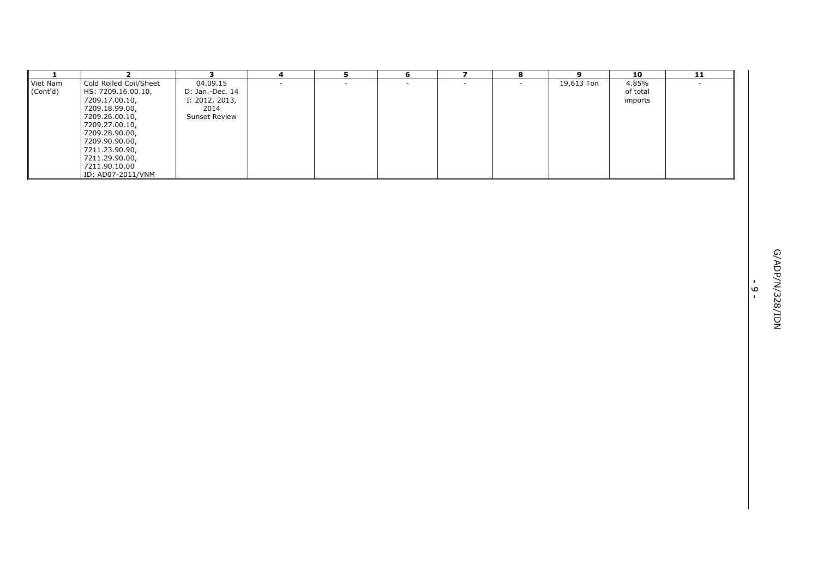| 1                    | $\overline{2}$                                                                                                                                                                                                                     | 3                                                                      | $\overline{\mathbf{4}}$ | 5      | 6      | $\overline{\mathbf{z}}$ | 8      | 9          | 10                           | $\overline{11}$ |                                  |                               |
|----------------------|------------------------------------------------------------------------------------------------------------------------------------------------------------------------------------------------------------------------------------|------------------------------------------------------------------------|-------------------------|--------|--------|-------------------------|--------|------------|------------------------------|-----------------|----------------------------------|-------------------------------|
| Viet Nam<br>(Cont'd) | Cold Rolled Coil/Sheet<br>HS: 7209.16.00.10,<br>7209.17.00.10,<br>7209.18.99.00,<br>7209.26.00.10,<br>7209.27.00.10,<br>7209.28.90.00,<br>7209.90.90.00,<br>7211.23.90.90,<br>7211.29.90.00,<br>7211.90.10.00<br>ID: AD07-2011/VNM | 04.09.15<br>D: Jan.-Dec. 14<br>I: 2012, 2013,<br>2014<br>Sunset Review | $\sim$                  | $\sim$ | $\sim$ | $\sim$                  | $\sim$ | 19,613 Ton | 4.85%<br>of total<br>imports | $\sim$          |                                  |                               |
|                      |                                                                                                                                                                                                                                    |                                                                        |                         |        |        |                         |        |            |                              |                 | $\mathbf{I}$<br>$\mathsf \omega$ | MQI/822/N/30V<br>$\mathbf{L}$ |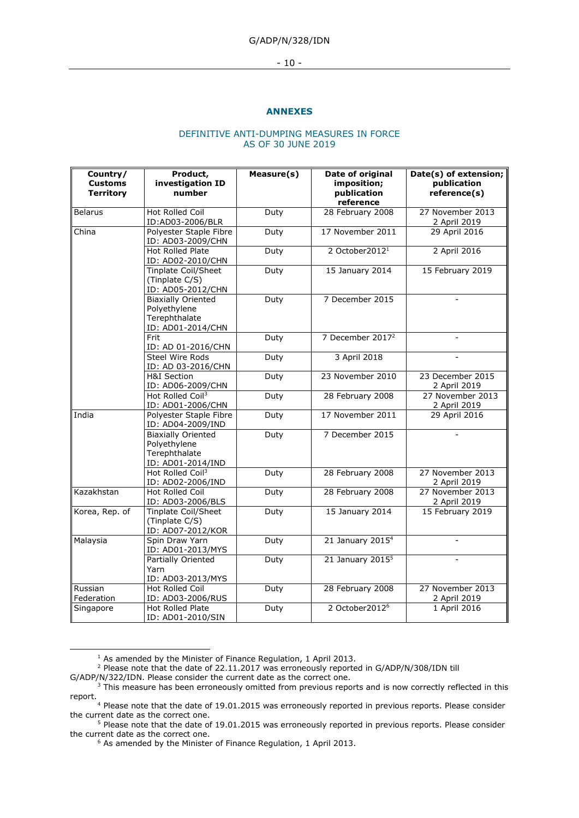#### - 10 -

#### **ANNEXES**

#### DEFINITIVE ANTI-DUMPING MEASURES IN FORCE AS OF 30 JUNE 2019

| Country/<br><b>Customs</b> | Product,<br>investigation ID                                                    | Measure(s) | Date of original<br>imposition; | Date(s) of extension;<br>publication |
|----------------------------|---------------------------------------------------------------------------------|------------|---------------------------------|--------------------------------------|
| <b>Territory</b>           | number                                                                          |            | publication<br>reference        | reference(s)                         |
| <b>Belarus</b>             | Hot Rolled Coil<br>ID:AD03-2006/BLR                                             | Duty       | 28 February 2008                | 27 November 2013<br>2 April 2019     |
| $\overline{China}$         | Polyester Staple Fibre<br>ID: AD03-2009/CHN                                     | Duty       | 17 November 2011                | 29 April 2016                        |
|                            | Hot Rolled Plate<br>ID: AD02-2010/CHN                                           | Duty       | 2 October2012 <sup>1</sup>      | 2 April 2016                         |
|                            | <b>Tinplate Coil/Sheet</b><br>(Tinplate C/S)<br>ID: AD05-2012/CHN               | Duty       | 15 January 2014                 | 15 February 2019                     |
|                            | <b>Biaxially Oriented</b><br>Polyethylene<br>Terephthalate<br>ID: AD01-2014/CHN | Duty       | 7 December 2015                 |                                      |
|                            | Frit<br>ID: AD 01-2016/CHN                                                      | Duty       | 7 December 2017 <sup>2</sup>    |                                      |
|                            | Steel Wire Rods<br>ID: AD 03-2016/CHN                                           | Duty       | 3 April 2018                    |                                      |
|                            | <b>H&amp;I Section</b><br>ID: AD06-2009/CHN                                     | Duty       | 23 November 2010                | 23 December 2015<br>2 April 2019     |
|                            | Hot Rolled Coil <sup>3</sup><br>ID: AD01-2006/CHN                               | Duty       | 28 February 2008                | 27 November 2013<br>2 April 2019     |
| India                      | Polyester Staple Fibre<br>ID: AD04-2009/IND                                     | Duty       | 17 November 2011                | 29 April 2016                        |
|                            | <b>Biaxially Oriented</b><br>Polyethylene<br>Terephthalate<br>ID: AD01-2014/IND | Duty       | 7 December 2015                 |                                      |
|                            | Hot Rolled Coil <sup>3</sup><br>ID: AD02-2006/IND                               | Duty       | 28 February 2008                | 27 November 2013<br>2 April 2019     |
| Kazakhstan                 | <b>Hot Rolled Coil</b><br>ID: AD03-2006/BLS                                     | Duty       | 28 February 2008                | 27 November 2013<br>2 April 2019     |
| Korea, Rep. of             | Tinplate Coil/Sheet<br>(Tinplate C/S)<br>ID: AD07-2012/KOR                      | Duty       | 15 January 2014                 | 15 February 2019                     |
| Malaysia                   | Spin Draw Yarn<br>ID: AD01-2013/MYS                                             | Duty       | 21 January 2015 <sup>4</sup>    |                                      |
|                            | Partially Oriented<br>Yarn<br>ID: AD03-2013/MYS                                 | Duty       | 21 January 2015 <sup>5</sup>    | $\overline{a}$                       |
| Russian<br>Federation      | Hot Rolled Coil<br>ID: AD03-2006/RUS                                            | Duty       | 28 February 2008                | 27 November 2013<br>2 April 2019     |
| Singapore                  | <b>Hot Rolled Plate</b><br>ID: AD01-2010/SIN                                    | Duty       | 2 October2012 <sup>6</sup>      | 1 April 2016                         |

<sup>&</sup>lt;sup>1</sup> As amended by the Minister of Finance Regulation, 1 April 2013.

-

<sup>&</sup>lt;sup>2</sup> Please note that the date of 22.11.2017 was erroneously reported in G/ADP/N/308/IDN till G/ADP/N/322/IDN. Please consider the current date as the correct one.

<sup>&</sup>lt;sup>3</sup> This measure has been erroneously omitted from previous reports and is now correctly reflected in this report.

<sup>&</sup>lt;sup>4</sup> Please note that the date of 19.01.2015 was erroneously reported in previous reports. Please consider the current date as the correct one.

<sup>5</sup> Please note that the date of 19.01.2015 was erroneously reported in previous reports. Please consider the current date as the correct one.

 $6$  As amended by the Minister of Finance Regulation, 1 April 2013.